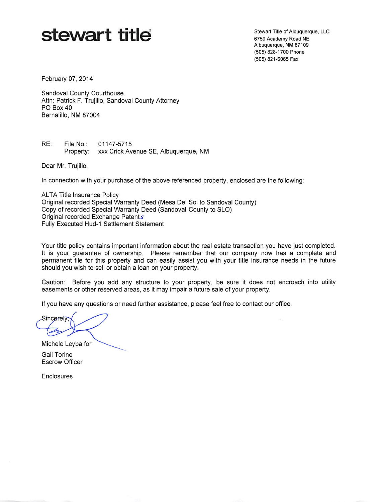## $\mathbf{stew}$  and  $\mathbf{stew}$  and  $\mathbf{stew}$  and  $\mathbf{stew}$  and  $\mathbf{stew}$  and  $\mathbf{stew}$  and  $\mathbf{stew}$  and  $\mathbf{stew}$

6759 Academy Road NE Albuquerque, NM 87109 (505) 828-1700 Phone (505) 821-6065 Fax

February 07, 2014

Sandoval County Courthouse Attn: Patrick F. Trujillo, Sandoval County Attorney PO Box 40 Bernalillo, NM 87004

RE: File No.: 01147-5715 Property: xxx Crick Avenue SE, Albuquerque, NM

Dear Mr. Trujillo,

In connection with your purchase of the above referenced property, enclosed are the following;

**ALTA Title Insurance Policy** Original recorded Special Warranty Deed (Mesa Del Sol to Sandoval County) Copy of recorded Special Warranty Deed (Sandoval County to SLO) Original recorded Exchange Patents Fully Executed Hud-1 Settlement Statement

Your title policy contains important information about the real estate transaction you have just completed. It is your guarantee of ownership. Please remember that our company now has a complete and permanent file for this property and can easily assist you with your title insurance needs in the future should you wish to sell or obtain a loan on your property.

Caution: Before you add any structure to your property, be sure it does not encroach into utility easements or other reserved areas, as it may impair a future sale of your property.

If you have any questions or need further assistance, please feel free to contact our office.

Sincerely

Michele Leyba for

Gail Torino Escrow Officer

Enclosures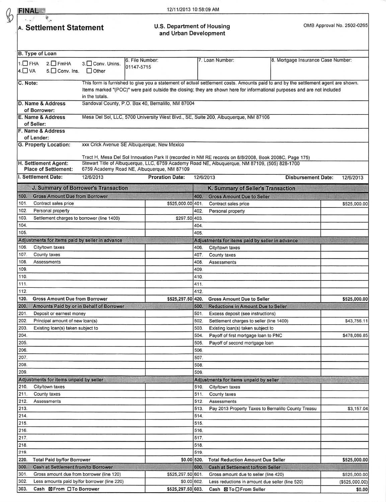| ï | ı |
|---|---|
|   |   |

## $\overrightarrow{F}$  **FINAL**  $\frac{3}{9}$

A. Settlement Statement **Matement Constitution Constitution** Constitution Constitution Constitution Constitution Constitution Constitution Constitution Constitution Constitution Constitution Constitution Constitution Const U.S. Department of Housing<br>and Urban Development

|                                                                                                                        | B. Type of Loan                                             |                                              | 6. File Number:                                                                                                                                                                                          |              | 7. Loan Number:                                                           | 8. Mortgage Insurance Case Number:                  |                |  |  |
|------------------------------------------------------------------------------------------------------------------------|-------------------------------------------------------------|----------------------------------------------|----------------------------------------------------------------------------------------------------------------------------------------------------------------------------------------------------------|--------------|---------------------------------------------------------------------------|-----------------------------------------------------|----------------|--|--|
| $1. \Box$ FHA<br>$4.$ VA                                                                                               | $2.\Box$ FmHA<br>$5.$ Conv. Ins.                            | 3. Conv. Unins.<br>$\Box$ Other              | 01147-5715                                                                                                                                                                                               |              |                                                                           |                                                     |                |  |  |
|                                                                                                                        |                                                             |                                              |                                                                                                                                                                                                          |              |                                                                           |                                                     |                |  |  |
| C. Note:                                                                                                               |                                                             |                                              | This form is furnished to give you a statement of actual settlement costs. Amounts paid to and by the settlement agent are shown.                                                                        |              |                                                                           |                                                     |                |  |  |
|                                                                                                                        |                                                             | in the totals.                               | Items marked "(POC)" were paid outside the closing; they are shown here for informational purposes and are not included                                                                                  |              |                                                                           |                                                     |                |  |  |
|                                                                                                                        | D. Name & Address                                           |                                              | Sandoval County, P.O. Box 40, Bernalillo, NM 87004                                                                                                                                                       |              |                                                                           |                                                     |                |  |  |
|                                                                                                                        | of Borrower:                                                |                                              |                                                                                                                                                                                                          |              |                                                                           |                                                     |                |  |  |
| E. Name & Address<br>Mesa Del Sol, LLC, 5700 University West Blvd., SE, Suite 200, Albuquerque, NM 87106<br>of Seller: |                                                             |                                              |                                                                                                                                                                                                          |              |                                                                           |                                                     |                |  |  |
| F. Name & Address                                                                                                      |                                                             |                                              |                                                                                                                                                                                                          |              |                                                                           |                                                     |                |  |  |
| of Lender:                                                                                                             |                                                             |                                              |                                                                                                                                                                                                          |              |                                                                           |                                                     |                |  |  |
| G. Property Location:<br>xxx Crick Avenue SE Albuquerque, New Mexico                                                   |                                                             |                                              |                                                                                                                                                                                                          |              |                                                                           |                                                     |                |  |  |
|                                                                                                                        |                                                             |                                              |                                                                                                                                                                                                          |              |                                                                           |                                                     |                |  |  |
|                                                                                                                        | H. Settlement Agent:                                        |                                              | Tract H, Mesa Del Sol Innovation Park II (recorded in NM RE records on 8/8/2008, Book 2008C, Page 175)<br>Stewart Title of Albuquerque, LLC, 6759 Academy Road NE, Albuquerque, NM 87109, (505) 828-1700 |              |                                                                           |                                                     |                |  |  |
|                                                                                                                        | <b>Place of Settlement:</b>                                 |                                              | 6759 Academy Road NE, Albuquerque, NM 87109                                                                                                                                                              |              |                                                                           |                                                     |                |  |  |
|                                                                                                                        | I. Settlement Date:                                         | 12/6/2013                                    | <b>Proration Date:</b>                                                                                                                                                                                   | 12/6/2013    |                                                                           | <b>Disbursement Date:</b>                           | 12/6/2013      |  |  |
|                                                                                                                        | J. Summary of Borrower's Transaction                        |                                              |                                                                                                                                                                                                          |              | K. Summary of Seller's Transaction                                        |                                                     |                |  |  |
| 100.                                                                                                                   | <b>Gross Amount Due from Borrower</b>                       |                                              |                                                                                                                                                                                                          | 400          | <b>Gross Amount Due to Seller</b>                                         |                                                     |                |  |  |
| 101.                                                                                                                   | Contract sales price                                        |                                              | \$525,000.00 401.                                                                                                                                                                                        |              | Contract sales price                                                      |                                                     | \$525,000.00   |  |  |
| 102.                                                                                                                   | Personal property                                           |                                              |                                                                                                                                                                                                          | 402.         | Personal property                                                         |                                                     |                |  |  |
| 103.                                                                                                                   | Settlement charges to borrower (line 1400)                  |                                              | \$297.50 403.                                                                                                                                                                                            |              |                                                                           |                                                     |                |  |  |
| 104.                                                                                                                   |                                                             |                                              |                                                                                                                                                                                                          | 404.         |                                                                           |                                                     |                |  |  |
| 105.                                                                                                                   |                                                             |                                              |                                                                                                                                                                                                          | 405.         |                                                                           |                                                     |                |  |  |
|                                                                                                                        | Adjustments for items paid by seller in advance             |                                              |                                                                                                                                                                                                          |              | Adjustments for items paid by seller in advance                           |                                                     |                |  |  |
| 106.                                                                                                                   | City/town taxes                                             |                                              |                                                                                                                                                                                                          | 406.         | City/town taxes                                                           |                                                     |                |  |  |
| 107.                                                                                                                   | County taxes                                                |                                              |                                                                                                                                                                                                          | 407.         | County taxes                                                              |                                                     |                |  |  |
| 108.                                                                                                                   | Assessments                                                 |                                              |                                                                                                                                                                                                          | 408.         | Assessments                                                               |                                                     |                |  |  |
| 109.                                                                                                                   |                                                             |                                              |                                                                                                                                                                                                          | 409.         |                                                                           |                                                     |                |  |  |
| 110.                                                                                                                   |                                                             |                                              |                                                                                                                                                                                                          | 410.         |                                                                           |                                                     |                |  |  |
| 111.                                                                                                                   |                                                             |                                              |                                                                                                                                                                                                          | 411.         |                                                                           |                                                     |                |  |  |
| 112.                                                                                                                   |                                                             |                                              |                                                                                                                                                                                                          | 412.         |                                                                           |                                                     |                |  |  |
| 120.                                                                                                                   | <b>Gross Amount Due from Borrower</b>                       |                                              | \$525,297.50 420.                                                                                                                                                                                        |              | <b>Gross Amount Due to Seller</b>                                         |                                                     | \$525,000.00   |  |  |
| 200.                                                                                                                   |                                                             | Amounts Paid by or in Behalf of Borrower     |                                                                                                                                                                                                          | 500.         | <b>Reductions in Amount Due to Seller</b>                                 |                                                     |                |  |  |
| 201.<br>202.                                                                                                           | Deposit or earnest money<br>Principal amount of new loan(s) |                                              |                                                                                                                                                                                                          | 501.<br>502. | Excess deposit (see instructions)                                         |                                                     |                |  |  |
| 203.                                                                                                                   | Existing loan(s) taken subject to                           |                                              |                                                                                                                                                                                                          | 503          | Settlement charges to seller (line 1400)                                  |                                                     | \$43,756.11    |  |  |
| 204.                                                                                                                   |                                                             |                                              |                                                                                                                                                                                                          | 504.         | Existing loan(s) taken subject to<br>Payoff of first mortgage loan to PNC |                                                     | \$478,086.85   |  |  |
| 205.                                                                                                                   |                                                             |                                              |                                                                                                                                                                                                          | 505.         | Payoff of second mortgage loan                                            |                                                     |                |  |  |
| 206.                                                                                                                   |                                                             |                                              |                                                                                                                                                                                                          | 506          |                                                                           |                                                     |                |  |  |
| 207.                                                                                                                   |                                                             |                                              |                                                                                                                                                                                                          | 507.         |                                                                           |                                                     |                |  |  |
| 208.                                                                                                                   |                                                             |                                              |                                                                                                                                                                                                          | 508.         |                                                                           |                                                     |                |  |  |
| 209.                                                                                                                   |                                                             |                                              |                                                                                                                                                                                                          | 509          |                                                                           |                                                     |                |  |  |
|                                                                                                                        | Adjustments for items unpaid by seller                      |                                              |                                                                                                                                                                                                          |              | Adjustments for items unpaid by seller                                    |                                                     |                |  |  |
| 210.                                                                                                                   | City/town taxes                                             |                                              |                                                                                                                                                                                                          | 510.         | City/town taxes                                                           |                                                     |                |  |  |
| 211.                                                                                                                   | County taxes                                                |                                              |                                                                                                                                                                                                          | 511.         | County taxes                                                              |                                                     |                |  |  |
| 212.                                                                                                                   | Assessments                                                 |                                              |                                                                                                                                                                                                          | 512.         | Assessments                                                               |                                                     |                |  |  |
| 213.                                                                                                                   |                                                             |                                              |                                                                                                                                                                                                          | 513.         |                                                                           | Pay 2013 Property Taxes to Bernalillo County Treasu | \$3,157.04     |  |  |
| 214.                                                                                                                   |                                                             |                                              |                                                                                                                                                                                                          | 514.         |                                                                           |                                                     |                |  |  |
| 215.                                                                                                                   |                                                             |                                              |                                                                                                                                                                                                          | 515.         |                                                                           |                                                     |                |  |  |
| 216.                                                                                                                   |                                                             |                                              |                                                                                                                                                                                                          | 516.         |                                                                           |                                                     |                |  |  |
| 217.                                                                                                                   |                                                             |                                              |                                                                                                                                                                                                          | 517.         |                                                                           |                                                     |                |  |  |
| 218.                                                                                                                   |                                                             |                                              |                                                                                                                                                                                                          | 518.         |                                                                           |                                                     |                |  |  |
| 219.                                                                                                                   |                                                             |                                              |                                                                                                                                                                                                          | 519.         |                                                                           |                                                     |                |  |  |
| 220.                                                                                                                   | <b>Total Paid by/for Borrower</b>                           |                                              |                                                                                                                                                                                                          | \$0.00 520.  | <b>Total Reduction Amount Due Seller</b>                                  |                                                     | \$525,000.00   |  |  |
| 300.                                                                                                                   | <b>Cash at Settlement from/to Borrower</b>                  |                                              |                                                                                                                                                                                                          | 600.         | <b>Cash at Settlement to/from Seller</b>                                  |                                                     |                |  |  |
| 301.<br>302.                                                                                                           | Gross amount due from borrower (line 120)                   |                                              | \$525,297.50 601.                                                                                                                                                                                        | \$0.00 602.  | Gross amount due to seller (line 420)                                     |                                                     | \$525,000.00   |  |  |
|                                                                                                                        |                                                             | Less amounts paid by/for borrower (line 220) |                                                                                                                                                                                                          |              | Less reductions in amount due seller (line 520)                           |                                                     | (\$525,000.00) |  |  |
| 303.                                                                                                                   | Cash ⊠ From □ To Borrower                                   |                                              | \$525,297.50 603.                                                                                                                                                                                        |              | Cash ⊠ To □ From Seller                                                   |                                                     | \$0.00         |  |  |